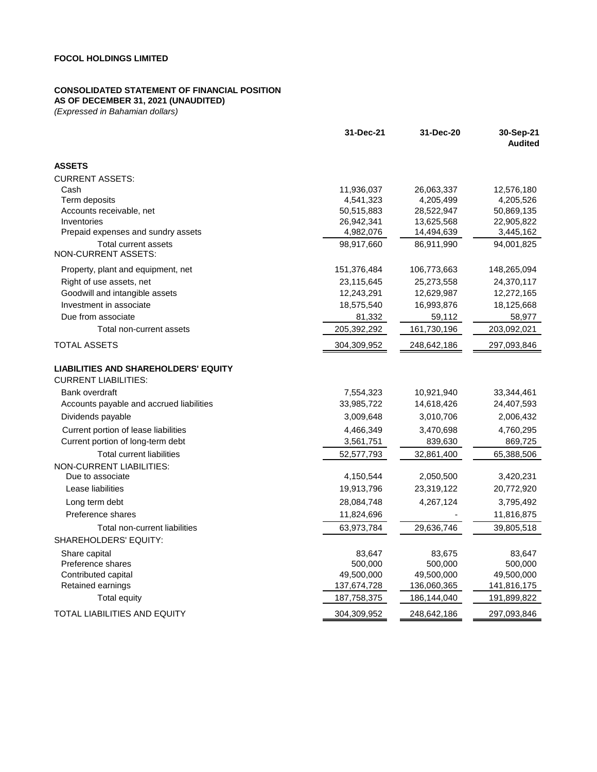### **CONSOLIDATED STATEMENT OF FINANCIAL POSITION**

**AS OF DECEMBER 31, 2021 (UNAUDITED)**

|                                                                            | 31-Dec-21   | 31-Dec-20   | 30-Sep-21<br><b>Audited</b> |
|----------------------------------------------------------------------------|-------------|-------------|-----------------------------|
| <b>ASSETS</b>                                                              |             |             |                             |
| <b>CURRENT ASSETS:</b>                                                     |             |             |                             |
| Cash                                                                       | 11,936,037  | 26,063,337  | 12,576,180                  |
| Term deposits                                                              | 4,541,323   | 4,205,499   | 4,205,526                   |
| Accounts receivable, net                                                   | 50,515,883  | 28,522,947  | 50,869,135                  |
| Inventories                                                                | 26,942,341  | 13,625,568  | 22,905,822                  |
| Prepaid expenses and sundry assets                                         | 4,982,076   | 14,494,639  | 3,445,162                   |
| <b>Total current assets</b><br>NON-CURRENT ASSETS:                         | 98.917.660  | 86.911.990  | 94.001.825                  |
| Property, plant and equipment, net                                         | 151,376,484 | 106,773,663 | 148,265,094                 |
| Right of use assets, net                                                   | 23,115,645  | 25,273,558  | 24,370,117                  |
| Goodwill and intangible assets                                             | 12,243,291  | 12,629,987  | 12,272,165                  |
| Investment in associate                                                    | 18,575,540  | 16,993,876  | 18,125,668                  |
| Due from associate                                                         | 81,332      | 59,112      | 58,977                      |
| Total non-current assets                                                   | 205,392,292 | 161,730,196 | 203,092,021                 |
| <b>TOTAL ASSETS</b>                                                        | 304,309,952 | 248,642,186 | 297,093,846                 |
| <b>LIABILITIES AND SHAREHOLDERS' EQUITY</b><br><b>CURRENT LIABILITIES:</b> |             |             |                             |
| Bank overdraft                                                             | 7,554,323   | 10,921,940  | 33,344,461                  |
| Accounts payable and accrued liabilities                                   | 33,985,722  | 14,618,426  | 24,407,593                  |
| Dividends payable                                                          | 3,009,648   | 3,010,706   | 2,006,432                   |
| Current portion of lease liabilities                                       | 4,466,349   | 3,470,698   | 4,760,295                   |
| Current portion of long-term debt                                          | 3,561,751   | 839,630     | 869,725                     |
| <b>Total current liabilities</b>                                           | 52,577,793  | 32,861,400  | 65,388,506                  |
| <b>NON-CURRENT LIABILITIES:</b>                                            |             |             |                             |
| Due to associate                                                           | 4,150,544   | 2,050,500   | 3,420,231                   |
| Lease liabilities                                                          | 19,913,796  | 23,319,122  | 20,772,920                  |
| Long term debt                                                             | 28,084,748  | 4,267,124   | 3,795,492                   |
| Preference shares                                                          | 11,824,696  |             | 11,816,875                  |
| Total non-current liabilities                                              | 63,973,784  | 29,636,746  | 39,805,518                  |
| SHAREHOLDERS' EQUITY:                                                      |             |             |                             |
| Share capital                                                              | 83,647      | 83,675      | 83,647                      |
| Preference shares                                                          | 500,000     | 500,000     | 500,000                     |
| Contributed capital                                                        | 49,500,000  | 49,500,000  | 49,500,000                  |
| Retained earnings                                                          | 137,674,728 | 136,060,365 | 141,816,175                 |
| <b>Total equity</b>                                                        | 187,758,375 | 186,144,040 | 191,899,822                 |
| TOTAL LIABILITIES AND EQUITY                                               | 304,309,952 | 248,642,186 | 297,093,846                 |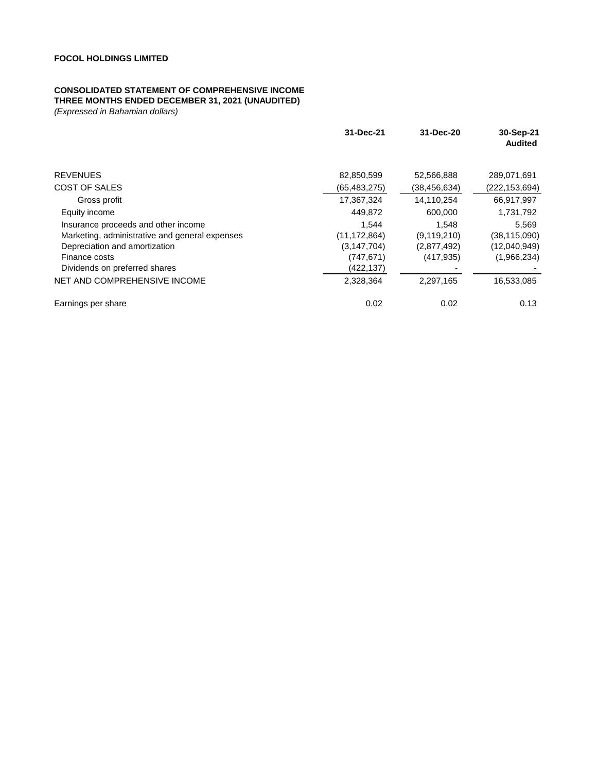#### **CONSOLIDATED STATEMENT OF COMPREHENSIVE INCOME**

#### **THREE MONTHS ENDED DECEMBER 31, 2021 (UNAUDITED)**

|                                                                                                                                                                                                          | 31-Dec-21                                                                      | 31-Dec-20                                                        | 30-Sep-21<br><b>Audited</b>                                        |
|----------------------------------------------------------------------------------------------------------------------------------------------------------------------------------------------------------|--------------------------------------------------------------------------------|------------------------------------------------------------------|--------------------------------------------------------------------|
| <b>REVENUES</b>                                                                                                                                                                                          | 82,850,599                                                                     | 52,566,888                                                       | 289,071,691                                                        |
| COST OF SALES                                                                                                                                                                                            | (65,483,275)                                                                   | (38, 456, 634)                                                   | (222,153,694)                                                      |
| Gross profit                                                                                                                                                                                             | 17,367,324                                                                     | 14,110,254                                                       | 66,917,997                                                         |
| Equity income                                                                                                                                                                                            | 449.872                                                                        | 600,000                                                          | 1,731,792                                                          |
| Insurance proceeds and other income<br>Marketing, administrative and general expenses<br>Depreciation and amortization<br>Finance costs<br>Dividends on preferred shares<br>NET AND COMPREHENSIVE INCOME | 1.544<br>(11,172,864)<br>(3, 147, 704)<br>(747, 671)<br>(422,137)<br>2,328,364 | 1.548<br>(9, 119, 210)<br>(2,877,492)<br>(417, 935)<br>2,297,165 | 5.569<br>(38,115,090)<br>(12,040,949)<br>(1,966,234)<br>16,533,085 |
|                                                                                                                                                                                                          |                                                                                |                                                                  |                                                                    |
| Earnings per share                                                                                                                                                                                       | 0.02                                                                           | 0.02                                                             | 0.13                                                               |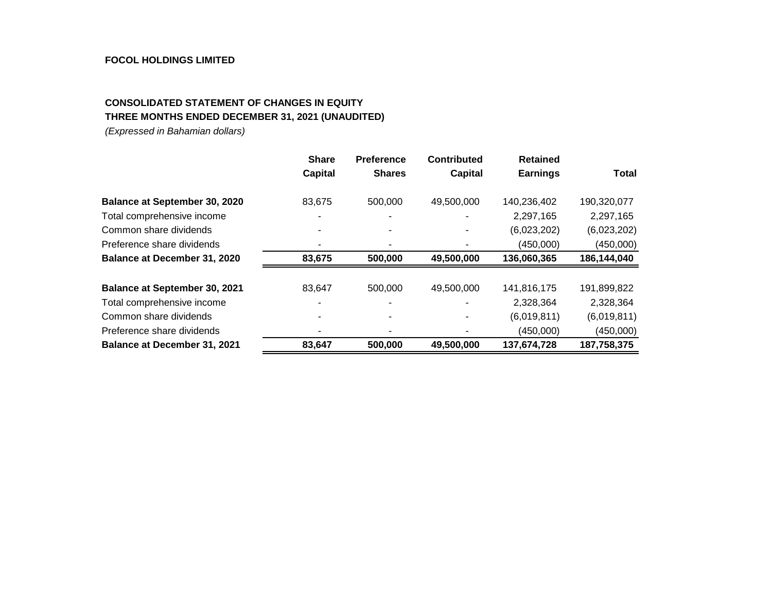### **FOCOL HOLDINGS LIMITED**

# **CONSOLIDATED STATEMENT OF CHANGES IN EQUITY THREE MONTHS ENDED DECEMBER 31, 2021 (UNAUDITED)**

|                                      | <b>Share</b>   | <b>Preference</b> | <b>Contributed</b> | <b>Retained</b> |              |
|--------------------------------------|----------------|-------------------|--------------------|-----------------|--------------|
|                                      | <b>Capital</b> | <b>Shares</b>     | Capital            | <b>Earnings</b> | <b>Total</b> |
| <b>Balance at September 30, 2020</b> | 83,675         | 500,000           | 49,500,000         | 140,236,402     | 190,320,077  |
| Total comprehensive income           |                |                   |                    | 2,297,165       | 2,297,165    |
| Common share dividends               |                |                   |                    | (6,023,202)     | (6,023,202)  |
| Preference share dividends           |                |                   |                    | (450,000)       | (450,000)    |
| <b>Balance at December 31, 2020</b>  | 83,675         | 500,000           | 49,500,000         | 136,060,365     | 186,144,040  |
| Balance at September 30, 2021        | 83,647         | 500,000           | 49,500,000         | 141,816,175     | 191,899,822  |
| Total comprehensive income           |                |                   |                    | 2,328,364       | 2,328,364    |
| Common share dividends               |                |                   |                    | (6,019,811)     | (6,019,811)  |
| Preference share dividends           |                |                   |                    | (450,000)       | (450,000)    |
| <b>Balance at December 31, 2021</b>  | 83,647         | 500,000           | 49,500,000         | 137,674,728     | 187,758,375  |